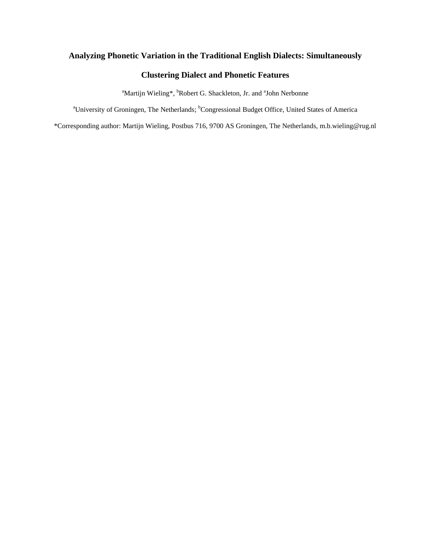# **Analyzing Phonetic Variation in the Traditional English Dialects: Simultaneously**

# **Clustering Dialect and Phonetic Features**

<sup>a</sup>Martijn Wieling\*, <sup>b</sup>Robert G. Shackleton, Jr. and <sup>a</sup>John Nerbonne

<sup>a</sup>University of Groningen, The Netherlands; <sup>b</sup>Congressional Budget Office, United States of America

\*Corresponding author: Martijn Wieling, Postbus 716, 9700 AS Groningen, The Netherlands, m.b.wieling@rug.nl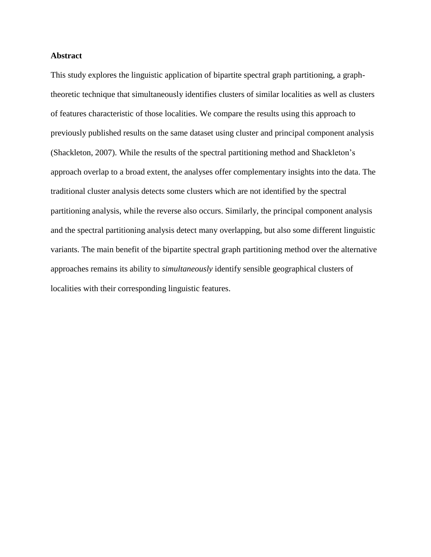### **Abstract**

This study explores the linguistic application of bipartite spectral graph partitioning, a graphtheoretic technique that simultaneously identifies clusters of similar localities as well as clusters of features characteristic of those localities. We compare the results using this approach to previously published results on the same dataset using cluster and principal component analysis (Shackleton, 2007). While the results of the spectral partitioning method and Shackleton's approach overlap to a broad extent, the analyses offer complementary insights into the data. The traditional cluster analysis detects some clusters which are not identified by the spectral partitioning analysis, while the reverse also occurs. Similarly, the principal component analysis and the spectral partitioning analysis detect many overlapping, but also some different linguistic variants. The main benefit of the bipartite spectral graph partitioning method over the alternative approaches remains its ability to *simultaneously* identify sensible geographical clusters of localities with their corresponding linguistic features.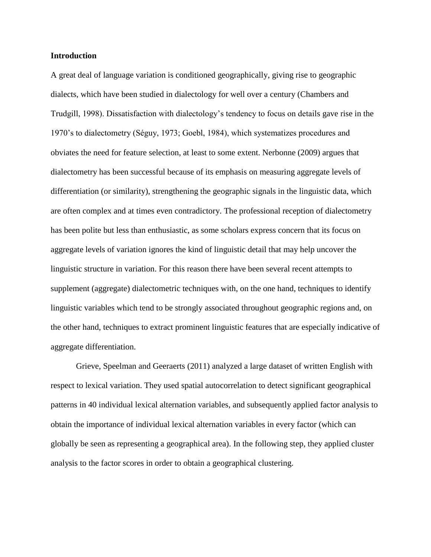#### **Introduction**

A great deal of language variation is conditioned geographically, giving rise to geographic dialects, which have been studied in dialectology for well over a century (Chambers and Trudgill, 1998). Dissatisfaction with dialectology's tendency to focus on details gave rise in the 1970's to dialectometry (Séguy, 1973; Goebl, 1984), which systematizes procedures and obviates the need for feature selection, at least to some extent. Nerbonne (2009) argues that dialectometry has been successful because of its emphasis on measuring aggregate levels of differentiation (or similarity), strengthening the geographic signals in the linguistic data, which are often complex and at times even contradictory. The professional reception of dialectometry has been polite but less than enthusiastic, as some scholars express concern that its focus on aggregate levels of variation ignores the kind of linguistic detail that may help uncover the linguistic structure in variation. For this reason there have been several recent attempts to supplement (aggregate) dialectometric techniques with, on the one hand, techniques to identify linguistic variables which tend to be strongly associated throughout geographic regions and, on the other hand, techniques to extract prominent linguistic features that are especially indicative of aggregate differentiation.

Grieve, Speelman and Geeraerts (2011) analyzed a large dataset of written English with respect to lexical variation. They used spatial autocorrelation to detect significant geographical patterns in 40 individual lexical alternation variables, and subsequently applied factor analysis to obtain the importance of individual lexical alternation variables in every factor (which can globally be seen as representing a geographical area). In the following step, they applied cluster analysis to the factor scores in order to obtain a geographical clustering.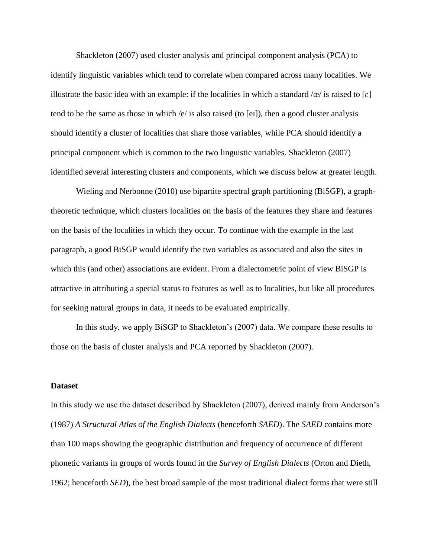Shackleton (2007) used cluster analysis and principal component analysis (PCA) to identify linguistic variables which tend to correlate when compared across many localities. We illustrate the basic idea with an example: if the localities in which a standard /æ/ is raised to [ $\varepsilon$ ] tend to be the same as those in which  $\sqrt{e}$  is also raised (to [ei]), then a good cluster analysis should identify a cluster of localities that share those variables, while PCA should identify a principal component which is common to the two linguistic variables. Shackleton (2007) identified several interesting clusters and components, which we discuss below at greater length.

Wieling and Nerbonne (2010) use bipartite spectral graph partitioning (BiSGP), a graphtheoretic technique, which clusters localities on the basis of the features they share and features on the basis of the localities in which they occur. To continue with the example in the last paragraph, a good BiSGP would identify the two variables as associated and also the sites in which this (and other) associations are evident. From a dialectometric point of view BiSGP is attractive in attributing a special status to features as well as to localities, but like all procedures for seeking natural groups in data, it needs to be evaluated empirically.

In this study, we apply BiSGP to Shackleton's (2007) data. We compare these results to those on the basis of cluster analysis and PCA reported by Shackleton (2007).

#### **Dataset**

In this study we use the dataset described by Shackleton (2007), derived mainly from Anderson's (1987) *A Structural Atlas of the English Dialects* (henceforth *SAED*). The *SAED* contains more than 100 maps showing the geographic distribution and frequency of occurrence of different phonetic variants in groups of words found in the *Survey of English Dialects* (Orton and Dieth, 1962; henceforth *SED*), the best broad sample of the most traditional dialect forms that were still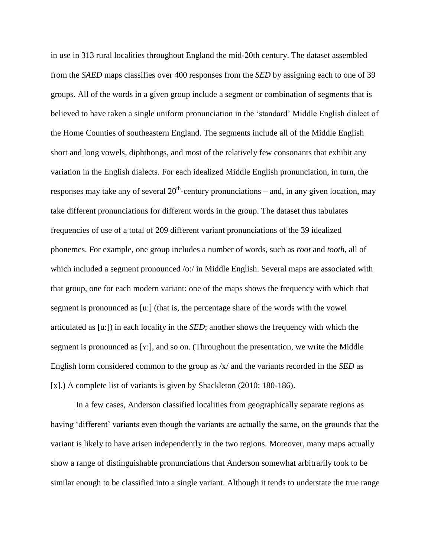in use in 313 rural localities throughout England the mid-20th century. The dataset assembled from the *SAED* maps classifies over 400 responses from the *SED* by assigning each to one of 39 groups. All of the words in a given group include a segment or combination of segments that is believed to have taken a single uniform pronunciation in the 'standard' Middle English dialect of the Home Counties of southeastern England. The segments include all of the Middle English short and long vowels, diphthongs, and most of the relatively few consonants that exhibit any variation in the English dialects. For each idealized Middle English pronunciation, in turn, the responses may take any of several  $20<sup>th</sup>$ -century pronunciations – and, in any given location, may take different pronunciations for different words in the group. The dataset thus tabulates frequencies of use of a total of 209 different variant pronunciations of the 39 idealized phonemes. For example, one group includes a number of words, such as *root* and *tooth*, all of which included a segment pronounced /o:/ in Middle English. Several maps are associated with that group, one for each modern variant: one of the maps shows the frequency with which that segment is pronounced as [u:] (that is, the percentage share of the words with the vowel articulated as [u:]) in each locality in the *SED*; another shows the frequency with which the segment is pronounced as [Y:], and so on. (Throughout the presentation, we write the Middle English form considered common to the group as /x/ and the variants recorded in the *SED* as [x].) A complete list of variants is given by Shackleton (2010: 180-186).

In a few cases, Anderson classified localities from geographically separate regions as having 'different' variants even though the variants are actually the same, on the grounds that the variant is likely to have arisen independently in the two regions. Moreover, many maps actually show a range of distinguishable pronunciations that Anderson somewhat arbitrarily took to be similar enough to be classified into a single variant. Although it tends to understate the true range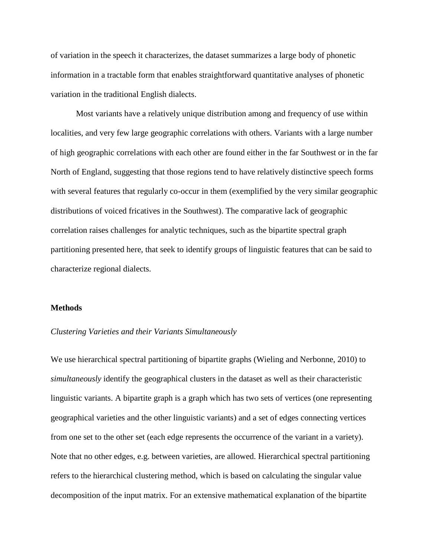of variation in the speech it characterizes, the dataset summarizes a large body of phonetic information in a tractable form that enables straightforward quantitative analyses of phonetic variation in the traditional English dialects.

Most variants have a relatively unique distribution among and frequency of use within localities, and very few large geographic correlations with others. Variants with a large number of high geographic correlations with each other are found either in the far Southwest or in the far North of England, suggesting that those regions tend to have relatively distinctive speech forms with several features that regularly co-occur in them (exemplified by the very similar geographic distributions of voiced fricatives in the Southwest). The comparative lack of geographic correlation raises challenges for analytic techniques, such as the bipartite spectral graph partitioning presented here, that seek to identify groups of linguistic features that can be said to characterize regional dialects.

#### **Methods**

#### *Clustering Varieties and their Variants Simultaneously*

We use hierarchical spectral partitioning of bipartite graphs (Wieling and Nerbonne, 2010) to *simultaneously* identify the geographical clusters in the dataset as well as their characteristic linguistic variants. A bipartite graph is a graph which has two sets of vertices (one representing geographical varieties and the other linguistic variants) and a set of edges connecting vertices from one set to the other set (each edge represents the occurrence of the variant in a variety). Note that no other edges, e.g. between varieties, are allowed. Hierarchical spectral partitioning refers to the hierarchical clustering method, which is based on calculating the singular value decomposition of the input matrix. For an extensive mathematical explanation of the bipartite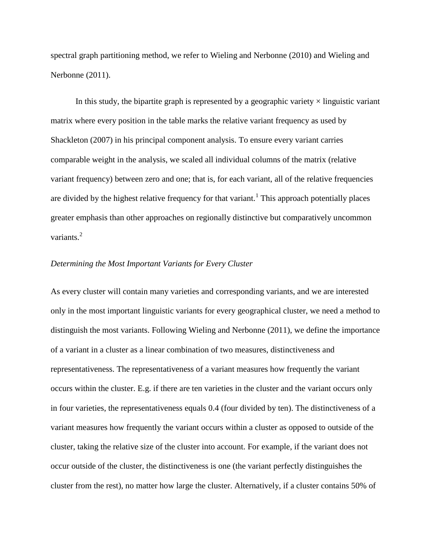spectral graph partitioning method, we refer to Wieling and Nerbonne (2010) and Wieling and Nerbonne (2011).

In this study, the bipartite graph is represented by a geographic variety  $\times$  linguistic variant matrix where every position in the table marks the relative variant frequency as used by Shackleton (2007) in his principal component analysis. To ensure every variant carries comparable weight in the analysis, we scaled all individual columns of the matrix (relative variant frequency) between zero and one; that is, for each variant, all of the relative frequencies are divided by the highest relative frequency for that variant.<sup>1</sup> This approach potentially places greater emphasis than other approaches on regionally distinctive but comparatively uncommon variants.<sup>2</sup>

#### *Determining the Most Important Variants for Every Cluster*

As every cluster will contain many varieties and corresponding variants, and we are interested only in the most important linguistic variants for every geographical cluster, we need a method to distinguish the most variants. Following Wieling and Nerbonne (2011), we define the importance of a variant in a cluster as a linear combination of two measures, distinctiveness and representativeness. The representativeness of a variant measures how frequently the variant occurs within the cluster. E.g. if there are ten varieties in the cluster and the variant occurs only in four varieties, the representativeness equals 0.4 (four divided by ten). The distinctiveness of a variant measures how frequently the variant occurs within a cluster as opposed to outside of the cluster, taking the relative size of the cluster into account. For example, if the variant does not occur outside of the cluster, the distinctiveness is one (the variant perfectly distinguishes the cluster from the rest), no matter how large the cluster. Alternatively, if a cluster contains 50% of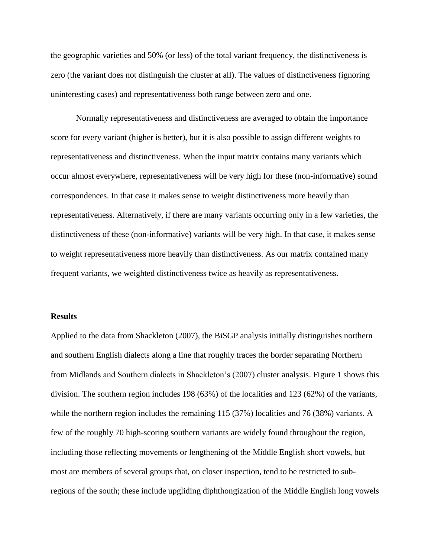the geographic varieties and 50% (or less) of the total variant frequency, the distinctiveness is zero (the variant does not distinguish the cluster at all). The values of distinctiveness (ignoring uninteresting cases) and representativeness both range between zero and one.

Normally representativeness and distinctiveness are averaged to obtain the importance score for every variant (higher is better), but it is also possible to assign different weights to representativeness and distinctiveness. When the input matrix contains many variants which occur almost everywhere, representativeness will be very high for these (non-informative) sound correspondences. In that case it makes sense to weight distinctiveness more heavily than representativeness. Alternatively, if there are many variants occurring only in a few varieties, the distinctiveness of these (non-informative) variants will be very high. In that case, it makes sense to weight representativeness more heavily than distinctiveness. As our matrix contained many frequent variants, we weighted distinctiveness twice as heavily as representativeness.

#### **Results**

Applied to the data from Shackleton (2007), the BiSGP analysis initially distinguishes northern and southern English dialects along a line that roughly traces the border separating Northern from Midlands and Southern dialects in Shackleton's (2007) cluster analysis. Figure 1 shows this division. The southern region includes 198 (63%) of the localities and 123 (62%) of the variants, while the northern region includes the remaining 115 (37%) localities and 76 (38%) variants. A few of the roughly 70 high-scoring southern variants are widely found throughout the region, including those reflecting movements or lengthening of the Middle English short vowels, but most are members of several groups that, on closer inspection, tend to be restricted to subregions of the south; these include upgliding diphthongization of the Middle English long vowels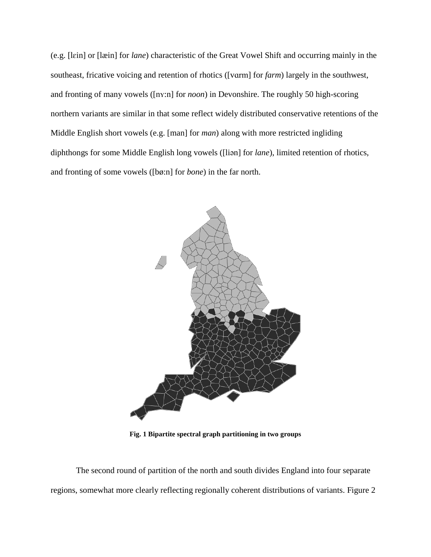(e.g. [lɛin] or [læin] for *lane*) characteristic of the Great Vowel Shift and occurring mainly in the southeast, fricative voicing and retention of rhotics ([vɑrm] for *farm*) largely in the southwest, and fronting of many vowels ([nʏ:n] for *noon*) in Devonshire. The roughly 50 high-scoring northern variants are similar in that some reflect widely distributed conservative retentions of the Middle English short vowels (e.g. [man] for *man*) along with more restricted ingliding diphthongs for some Middle English long vowels ([liən] for *lane*), limited retention of rhotics, and fronting of some vowels ([bø:n] for *bone*) in the far north.



**Fig. 1 Bipartite spectral graph partitioning in two groups**

The second round of partition of the north and south divides England into four separate regions, somewhat more clearly reflecting regionally coherent distributions of variants. Figure 2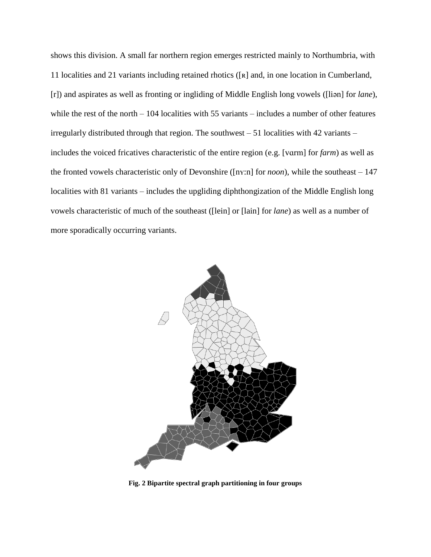shows this division. A small far northern region emerges restricted mainly to Northumbria, with 11 localities and 21 variants including retained rhotics ([ʀ] and, in one location in Cumberland, [r]) and aspirates as well as fronting or ingliding of Middle English long vowels ([liən] for *lane*), while the rest of the north – 104 localities with 55 variants – includes a number of other features irregularly distributed through that region. The southwest – 51 localities with 42 variants – includes the voiced fricatives characteristic of the entire region (e.g. [vɑrm] for *farm*) as well as the fronted vowels characteristic only of Devonshire ([nʏ:n] for *noon*), while the southeast – 147 localities with 81 variants – includes the upgliding diphthongization of the Middle English long vowels characteristic of much of the southeast ([lein] or [lain] for *lane*) as well as a number of more sporadically occurring variants.



**Fig. 2 Bipartite spectral graph partitioning in four groups**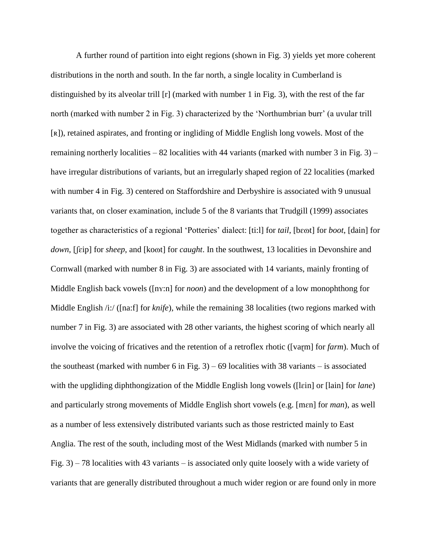A further round of partition into eight regions (shown in Fig. 3) yields yet more coherent distributions in the north and south. In the far north, a single locality in Cumberland is distinguished by its alveolar trill [r] (marked with number 1 in Fig. 3), with the rest of the far north (marked with number 2 in Fig. 3) characterized by the 'Northumbrian burr' (a uvular trill [ʀ]), retained aspirates, and fronting or ingliding of Middle English long vowels. Most of the remaining northerly localities – 82 localities with 44 variants (marked with number  $3$  in Fig.  $3$ ) – have irregular distributions of variants, but an irregularly shaped region of 22 localities (marked with number 4 in Fig. 3) centered on Staffordshire and Derbyshire is associated with 9 unusual variants that, on closer examination, include 5 of the 8 variants that Trudgill (1999) associates together as characteristics of a regional 'Potteries' dialect: [ti:l] for *tail*, [bɛɷt] for *boot*, [dain] for *down*, [ʃɛip] for *sheep*, and [koɷt] for *caught*. In the southwest, 13 localities in Devonshire and Cornwall (marked with number 8 in Fig. 3) are associated with 14 variants, mainly fronting of Middle English back vowels ([ny:n] for *noon*) and the development of a low monophthong for Middle English /i:/ ([na:f] for *knife*), while the remaining 38 localities (two regions marked with number 7 in Fig. 3) are associated with 28 other variants, the highest scoring of which nearly all involve the voicing of fricatives and the retention of a retroflex rhotic ([varm] for *farm*). Much of the southeast (marked with number 6 in Fig. 3) – 69 localities with 38 variants – is associated with the upgliding diphthongization of the Middle English long vowels ([lɛin] or [lain] for *lane*) and particularly strong movements of Middle English short vowels (e.g. [mɛn] for *man*), as well as a number of less extensively distributed variants such as those restricted mainly to East Anglia. The rest of the south, including most of the West Midlands (marked with number 5 in Fig. 3) – 78 localities with 43 variants – is associated only quite loosely with a wide variety of variants that are generally distributed throughout a much wider region or are found only in more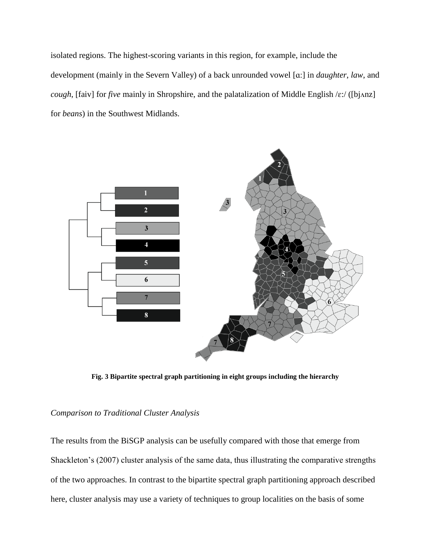isolated regions. The highest-scoring variants in this region, for example, include the development (mainly in the Severn Valley) of a back unrounded vowel [ɑ:] in *daughter*, *law*, and *cough*, [faiv] for *five* mainly in Shropshire, and the palatalization of Middle English /ε:/ ([bjʌnz] for *beans*) in the Southwest Midlands.



**Fig. 3 Bipartite spectral graph partitioning in eight groups including the hierarchy**

### *Comparison to Traditional Cluster Analysis*

The results from the BiSGP analysis can be usefully compared with those that emerge from Shackleton's (2007) cluster analysis of the same data, thus illustrating the comparative strengths of the two approaches. In contrast to the bipartite spectral graph partitioning approach described here, cluster analysis may use a variety of techniques to group localities on the basis of some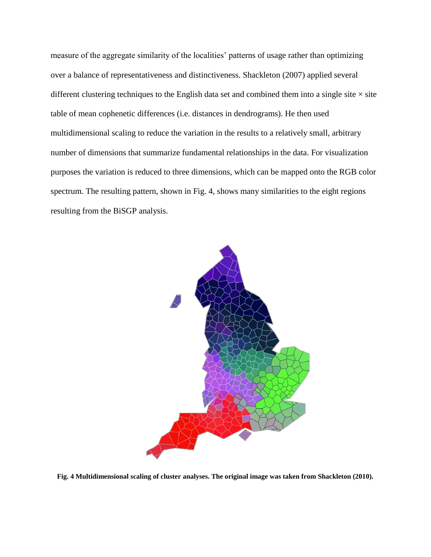measure of the aggregate similarity of the localities' patterns of usage rather than optimizing over a balance of representativeness and distinctiveness. Shackleton (2007) applied several different clustering techniques to the English data set and combined them into a single site  $\times$  site table of mean cophenetic differences (i.e. distances in dendrograms). He then used multidimensional scaling to reduce the variation in the results to a relatively small, arbitrary number of dimensions that summarize fundamental relationships in the data. For visualization purposes the variation is reduced to three dimensions, which can be mapped onto the RGB color spectrum. The resulting pattern, shown in Fig. 4, shows many similarities to the eight regions resulting from the BiSGP analysis.



**Fig. 4 Multidimensional scaling of cluster analyses. The original image was taken from Shackleton (2010).**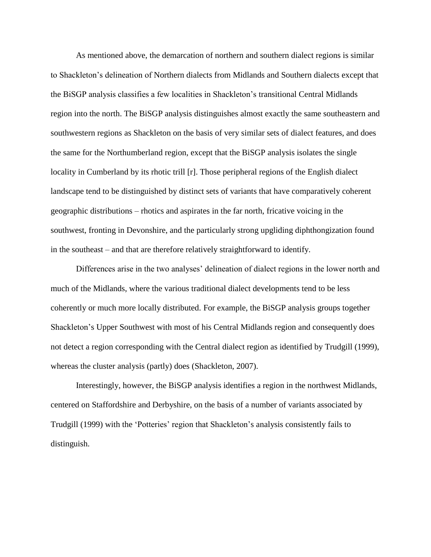As mentioned above, the demarcation of northern and southern dialect regions is similar to Shackleton's delineation of Northern dialects from Midlands and Southern dialects except that the BiSGP analysis classifies a few localities in Shackleton's transitional Central Midlands region into the north. The BiSGP analysis distinguishes almost exactly the same southeastern and southwestern regions as Shackleton on the basis of very similar sets of dialect features, and does the same for the Northumberland region, except that the BiSGP analysis isolates the single locality in Cumberland by its rhotic trill [r]. Those peripheral regions of the English dialect landscape tend to be distinguished by distinct sets of variants that have comparatively coherent geographic distributions – rhotics and aspirates in the far north, fricative voicing in the southwest, fronting in Devonshire, and the particularly strong upgliding diphthongization found in the southeast – and that are therefore relatively straightforward to identify.

Differences arise in the two analyses' delineation of dialect regions in the lower north and much of the Midlands, where the various traditional dialect developments tend to be less coherently or much more locally distributed. For example, the BiSGP analysis groups together Shackleton's Upper Southwest with most of his Central Midlands region and consequently does not detect a region corresponding with the Central dialect region as identified by Trudgill (1999), whereas the cluster analysis (partly) does (Shackleton, 2007).

Interestingly, however, the BiSGP analysis identifies a region in the northwest Midlands, centered on Staffordshire and Derbyshire, on the basis of a number of variants associated by Trudgill (1999) with the 'Potteries' region that Shackleton's analysis consistently fails to distinguish.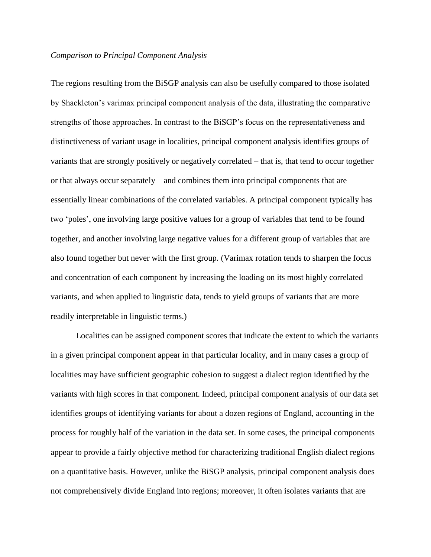### *Comparison to Principal Component Analysis*

The regions resulting from the BiSGP analysis can also be usefully compared to those isolated by Shackleton's varimax principal component analysis of the data, illustrating the comparative strengths of those approaches. In contrast to the BiSGP's focus on the representativeness and distinctiveness of variant usage in localities, principal component analysis identifies groups of variants that are strongly positively or negatively correlated – that is, that tend to occur together or that always occur separately – and combines them into principal components that are essentially linear combinations of the correlated variables. A principal component typically has two 'poles', one involving large positive values for a group of variables that tend to be found together, and another involving large negative values for a different group of variables that are also found together but never with the first group. (Varimax rotation tends to sharpen the focus and concentration of each component by increasing the loading on its most highly correlated variants, and when applied to linguistic data, tends to yield groups of variants that are more readily interpretable in linguistic terms.)

Localities can be assigned component scores that indicate the extent to which the variants in a given principal component appear in that particular locality, and in many cases a group of localities may have sufficient geographic cohesion to suggest a dialect region identified by the variants with high scores in that component. Indeed, principal component analysis of our data set identifies groups of identifying variants for about a dozen regions of England, accounting in the process for roughly half of the variation in the data set. In some cases, the principal components appear to provide a fairly objective method for characterizing traditional English dialect regions on a quantitative basis. However, unlike the BiSGP analysis, principal component analysis does not comprehensively divide England into regions; moreover, it often isolates variants that are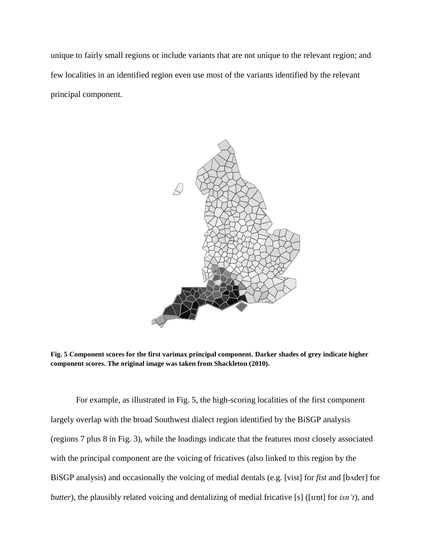unique to fairly small regions or include variants that are not unique to the relevant region; and few localities in an identified region even use most of the variants identified by the relevant principal component.



**Fig. 5 Component scores for the first varimax principal component. Darker shades of grey indicate higher component scores. The original image was taken from Shackleton (2010).**

For example, as illustrated in Fig. 5, the high-scoring localities of the first component largely overlap with the broad Southwest dialect region identified by the BiSGP analysis (regions 7 plus 8 in Fig. 3), while the loadings indicate that the features most closely associated with the principal component are the voicing of fricatives (also linked to this region by the BiSGP analysis) and occasionally the voicing of medial dentals (e.g. [vist] for *fist* and [bʌder] for *butter*), the plausibly related voicing and dentalizing of medial fricative [s] ([Irnt] for *isn't*), and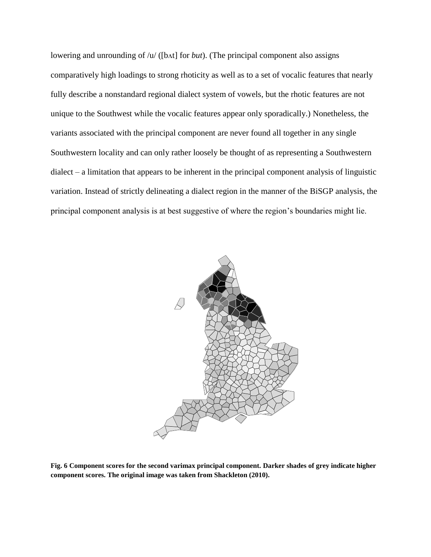lowering and unrounding of /u/ ([bʌt] for *but*). (The principal component also assigns comparatively high loadings to strong rhoticity as well as to a set of vocalic features that nearly fully describe a nonstandard regional dialect system of vowels, but the rhotic features are not unique to the Southwest while the vocalic features appear only sporadically.) Nonetheless, the variants associated with the principal component are never found all together in any single Southwestern locality and can only rather loosely be thought of as representing a Southwestern dialect – a limitation that appears to be inherent in the principal component analysis of linguistic variation. Instead of strictly delineating a dialect region in the manner of the BiSGP analysis, the principal component analysis is at best suggestive of where the region's boundaries might lie.



**Fig. 6 Component scores for the second varimax principal component. Darker shades of grey indicate higher component scores. The original image was taken from Shackleton (2010).**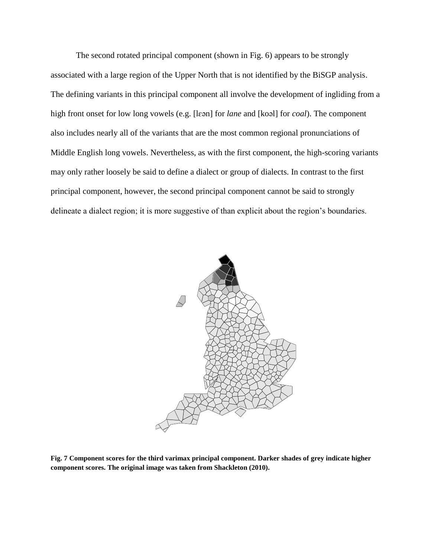The second rotated principal component (shown in Fig. 6) appears to be strongly associated with a large region of the Upper North that is not identified by the BiSGP analysis. The defining variants in this principal component all involve the development of ingliding from a high front onset for low long vowels (e.g. [lɛən] for *lane* and [koəl] for *coal*). The component also includes nearly all of the variants that are the most common regional pronunciations of Middle English long vowels. Nevertheless, as with the first component, the high-scoring variants may only rather loosely be said to define a dialect or group of dialects. In contrast to the first principal component, however, the second principal component cannot be said to strongly delineate a dialect region; it is more suggestive of than explicit about the region's boundaries.



**Fig. 7 Component scores for the third varimax principal component. Darker shades of grey indicate higher component scores. The original image was taken from Shackleton (2010).**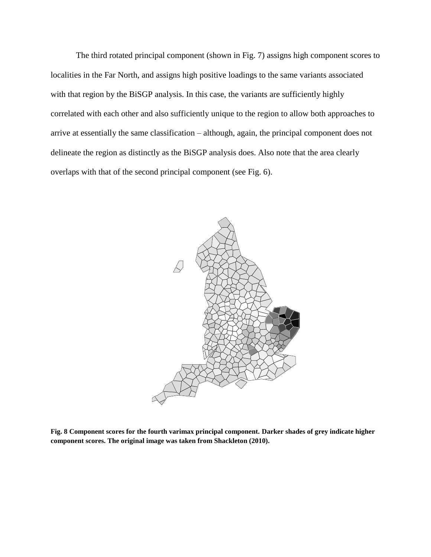The third rotated principal component (shown in Fig. 7) assigns high component scores to localities in the Far North, and assigns high positive loadings to the same variants associated with that region by the BiSGP analysis. In this case, the variants are sufficiently highly correlated with each other and also sufficiently unique to the region to allow both approaches to arrive at essentially the same classification – although, again, the principal component does not delineate the region as distinctly as the BiSGP analysis does. Also note that the area clearly overlaps with that of the second principal component (see Fig. 6).



**Fig. 8 Component scores for the fourth varimax principal component. Darker shades of grey indicate higher component scores. The original image was taken from Shackleton (2010).**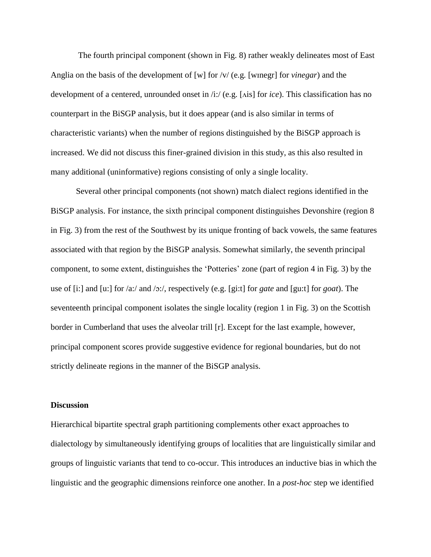The fourth principal component (shown in Fig. 8) rather weakly delineates most of East Anglia on the basis of the development of [w] for /v/ (e.g. [wɪnegr] for *vinegar*) and the development of a centered, unrounded onset in /i:/ (e.g. [ʌis] for *ice*). This classification has no counterpart in the BiSGP analysis, but it does appear (and is also similar in terms of characteristic variants) when the number of regions distinguished by the BiSGP approach is increased. We did not discuss this finer-grained division in this study, as this also resulted in many additional (uninformative) regions consisting of only a single locality.

Several other principal components (not shown) match dialect regions identified in the BiSGP analysis. For instance, the sixth principal component distinguishes Devonshire (region 8 in Fig. 3) from the rest of the Southwest by its unique fronting of back vowels, the same features associated with that region by the BiSGP analysis. Somewhat similarly, the seventh principal component, to some extent, distinguishes the 'Potteries' zone (part of region 4 in Fig. 3) by the use of [i:] and [u:] for /a:/ and /ɔ:/, respectively (e.g. [gi:t] for *gate* and [gu:t] for *goat*). The seventeenth principal component isolates the single locality (region 1 in Fig. 3) on the Scottish border in Cumberland that uses the alveolar trill [r]. Except for the last example, however, principal component scores provide suggestive evidence for regional boundaries, but do not strictly delineate regions in the manner of the BiSGP analysis.

#### **Discussion**

Hierarchical bipartite spectral graph partitioning complements other exact approaches to dialectology by simultaneously identifying groups of localities that are linguistically similar and groups of linguistic variants that tend to co-occur. This introduces an inductive bias in which the linguistic and the geographic dimensions reinforce one another. In a *post-hoc* step we identified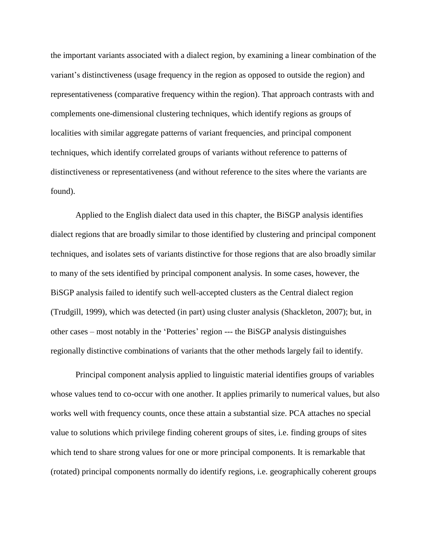the important variants associated with a dialect region, by examining a linear combination of the variant's distinctiveness (usage frequency in the region as opposed to outside the region) and representativeness (comparative frequency within the region). That approach contrasts with and complements one-dimensional clustering techniques, which identify regions as groups of localities with similar aggregate patterns of variant frequencies, and principal component techniques, which identify correlated groups of variants without reference to patterns of distinctiveness or representativeness (and without reference to the sites where the variants are found).

Applied to the English dialect data used in this chapter, the BiSGP analysis identifies dialect regions that are broadly similar to those identified by clustering and principal component techniques, and isolates sets of variants distinctive for those regions that are also broadly similar to many of the sets identified by principal component analysis. In some cases, however, the BiSGP analysis failed to identify such well-accepted clusters as the Central dialect region (Trudgill, 1999), which was detected (in part) using cluster analysis (Shackleton, 2007); but, in other cases – most notably in the 'Potteries' region --- the BiSGP analysis distinguishes regionally distinctive combinations of variants that the other methods largely fail to identify.

Principal component analysis applied to linguistic material identifies groups of variables whose values tend to co-occur with one another. It applies primarily to numerical values, but also works well with frequency counts, once these attain a substantial size. PCA attaches no special value to solutions which privilege finding coherent groups of sites, i.e. finding groups of sites which tend to share strong values for one or more principal components. It is remarkable that (rotated) principal components normally do identify regions, i.e. geographically coherent groups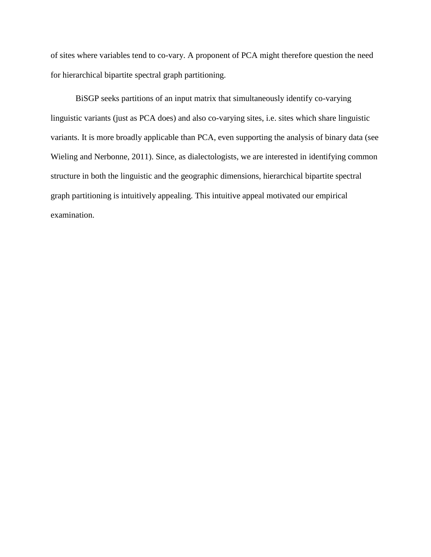of sites where variables tend to co-vary. A proponent of PCA might therefore question the need for hierarchical bipartite spectral graph partitioning.

BiSGP seeks partitions of an input matrix that simultaneously identify co-varying linguistic variants (just as PCA does) and also co-varying sites, i.e. sites which share linguistic variants. It is more broadly applicable than PCA, even supporting the analysis of binary data (see Wieling and Nerbonne, 2011). Since, as dialectologists, we are interested in identifying common structure in both the linguistic and the geographic dimensions, hierarchical bipartite spectral graph partitioning is intuitively appealing. This intuitive appeal motivated our empirical examination.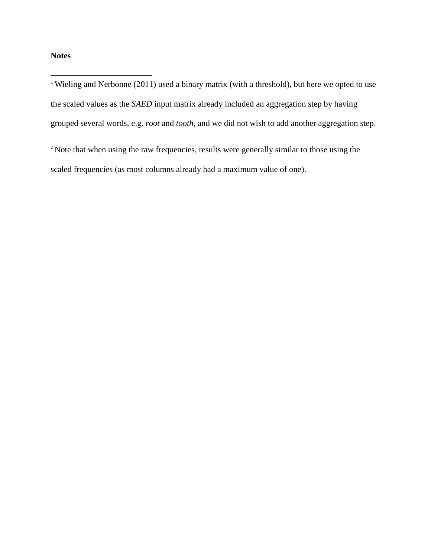# **Notes**

 $\overline{\phantom{a}}$ 

<sup>1</sup> Wieling and Nerbonne (2011) used a binary matrix (with a threshold), but here we opted to use the scaled values as the *SAED* input matrix already included an aggregation step by having grouped several words, e.g. *root* and *tooth*, and we did not wish to add another aggregation step.

<sup>2</sup> Note that when using the raw frequencies, results were generally similar to those using the scaled frequencies (as most columns already had a maximum value of one).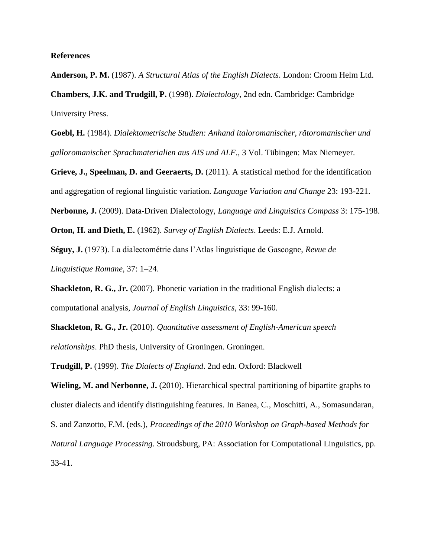#### **References**

**Anderson, P. M.** (1987). *A Structural Atlas of the English Dialects*. London: Croom Helm Ltd. **Chambers, J.K. and Trudgill, P.** (1998). *Dialectology*, 2nd edn. Cambridge: Cambridge University Press.

**Goebl, H.** (1984). *Dialektometrische Studien: Anhand italoromanischer, rätoromanischer und galloromanischer Sprachmaterialien aus AIS und ALF*., 3 Vol. Tübingen: Max Niemeyer.

**Grieve, J., Speelman, D. and Geeraerts, D.** (2011). A statistical method for the identification and aggregation of regional linguistic variation. *Language Variation and Change* 23: 193-221.

**Nerbonne, J.** (2009). Data-Driven Dialectology, *Language and Linguistics Compass* 3: 175-198.

**Orton, H. and Dieth, E.** (1962). *Survey of English Dialects*. Leeds: E.J. Arnold.

**Séguy, J.** (1973). La dialectométrie dans l'Atlas linguistique de Gascogne, *Revue de Linguistique Romane*, 37: 1–24.

**Shackleton, R. G., Jr.** (2007). Phonetic variation in the traditional English dialects: a computational analysis, *Journal of English Linguistics*, 33: 99-160.

**Shackleton, R. G., Jr.** (2010). *Quantitative assessment of English-American speech relationships*. PhD thesis, University of Groningen. Groningen.

**Trudgill, P.** (1999). *The Dialects of England*. 2nd edn. Oxford: Blackwell

**Wieling, M. and Nerbonne, J.** (2010). Hierarchical spectral partitioning of bipartite graphs to cluster dialects and identify distinguishing features. In Banea, C., Moschitti, A., Somasundaran,

S. and Zanzotto, F.M. (eds.), *Proceedings of the 2010 Workshop on Graph-based Methods for* 

*Natural Language Processing*. Stroudsburg, PA: Association for Computational Linguistics, pp. 33-41.